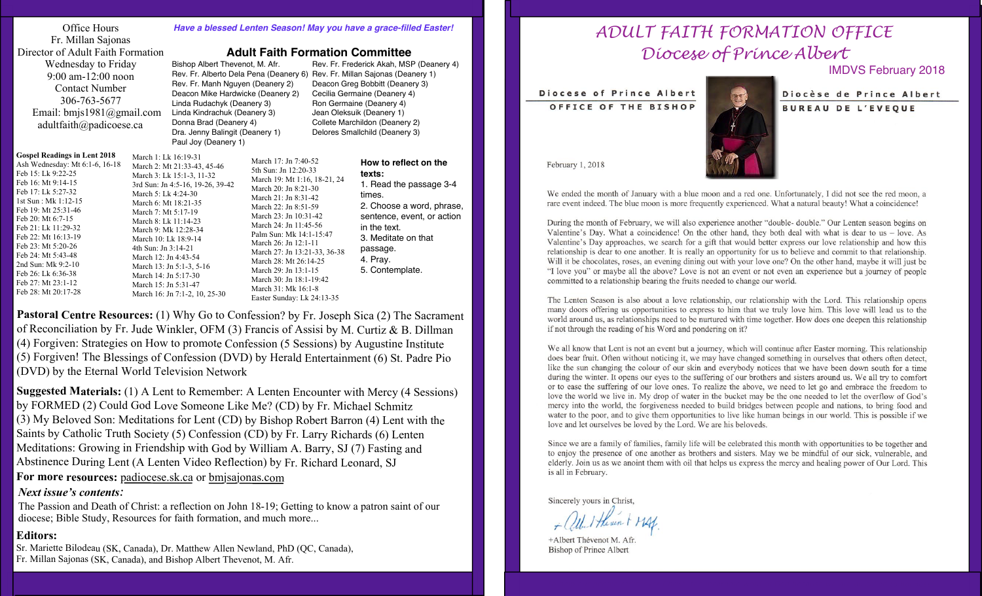| Office Hours<br>Fr. Millan Sajonas<br>Director of Adult Faith Formation<br>Wednesday to Friday<br>$9:00$ am- $12:00$ noon<br>Contact Number<br>306-763-5677<br>Email: $bmis1981@gmail.com$<br>adultfaith@padicoese.ca             |                                                                                                                    | <b>Have a blessed Lent</b><br><b>Adult</b><br>Bishop Albert Thevenot,<br>Rev. Fr. Alberto Dela Pe<br>Rev. Fr. Manh Nguyen (I<br>Deacon Mike Hardwicke<br>Linda Rudachyk (Deaner<br>Linda Kindrachuk (Dean<br>Donna Brad (Deanery 4) |                                                   |
|-----------------------------------------------------------------------------------------------------------------------------------------------------------------------------------------------------------------------------------|--------------------------------------------------------------------------------------------------------------------|-------------------------------------------------------------------------------------------------------------------------------------------------------------------------------------------------------------------------------------|---------------------------------------------------|
|                                                                                                                                                                                                                                   |                                                                                                                    | Dra. Jenny Balingit (Dea<br>Paul Joy (Deanery 1)                                                                                                                                                                                    |                                                   |
| <b>Gospel Readings in Lent 2018</b><br>Ash Wednesday: Mt 6:1-6, 16-18<br>Feb 15: Lk 9:22-25<br>Feb 16: Mt 9:14-15<br>Feb 17: Lk 5:27-32<br>1st Sun: Mk 1:12-15<br>Feb 19: Mt 25:31-46<br>Feb 20: Mt 6:7-15<br>Feb 21: Lk 11:29-32 | March 1: Lk 16:19-31<br>March 5: Lk 4:24-30<br>March 6: Mt 18:21-35<br>March 7: Mt 5:17-19<br>March 8: Lk 11:14-23 | March 2: Mt 21:33-43, 45-46<br>March 3: Lk 15:1-3, 11-32<br>3rd Sun: Jn 4:5-16, 19-26, 39-42<br>March 9: Mk 12:28-34                                                                                                                | M<br>5 <sub>t</sub><br>M<br>M<br>M<br>M<br>M<br>M |

#### *Have a blessed Lenten Season! May you have a grace-filled Easter!*

M. Afr. Rev. Fr. Frederick Akah, MSP (Deanery 4) ena (Deanery 6) Rev. Fr. Millan Sajonas (Deanery 1) Deanery 2) Deacon Greg Bobbitt (Deanery 3) (Deanery 2) Cecilia Germaine (Deanery 4) Linda Rudachyk (Deanery 3) Ron Germaine (Deanery 4) lery 3) Jean Oleksuik (Deanery 1) Collete Marchildon (Deanery 2) anery 1) Delores Smallchild (Deanery 3)

**Faith Formation Committee** 

| <b>Gospel Readings in Lent 2018</b><br>March 1: Lk 16:19-31<br>Ash Wednesday: Mt 6:1-6, 16-18<br>March 2: Mt 21:33-43, 45-46<br>Feb 15: Lk 9:22-25<br>March 3: Lk 15:1-3, 11-32<br>Feb 16: Mt 9:14-15<br>Feb 17: Lk 5:27-32<br>March 5: Lk 4:24-30<br>1st Sun: Mk 1:12-15<br>March 6: Mt 18:21-35<br>Feb 19: Mt 25:31-46<br>March 7: Mt 5:17-19<br>Feb 20: Mt 6:7-15<br>March 8: Lk 11:14-23<br>Feb 21: Lk 11:29-32<br>March 9: Mk 12:28-34<br>Feb 22: Mt 16:13-19<br>March 10: Lk 18:9-14<br>Feb 23: Mt 5:20-26<br>4th Sun: Jn 3:14-21<br>Feb 24: Mt 5:43-48<br>March 12: Jn 4:43-54<br>2nd Sun: Mk 9:2-10<br>March 13: Jn 5:1-3, 5-16<br>Feb 26: Lk 6:36-38<br>March 14: Jn 5:17-30<br>Feb 27: Mt 23:1-12<br>March 15: Jn 5:31-47<br>Feb 28: Mt 20:17-28<br>March 16: Jn 7:1-2, 10, 25-30 | March 17: Jn 7:40-52<br>5th Sun: Jn 12:20-33<br>March 19: Mt 1:16, 18-21, 24<br>3rd Sun: Jn 4:5-16, 19-26, 39-42<br>March 20: Jn 8:21-30<br>March 21: Jn 8:31-42<br>March 22: Jn 8:51-59<br>March 23: Jn 10:31-42<br>March 24: Jn 11:45-56<br>Palm Sun: Mk 14:1-15:47<br>March 26: Jn 12:1-11<br>March 27: Jn 13:21-33, 36-38<br>March 28: Mt 26:14-25<br>March 29: Jn 13:1-15<br>March 30: Jn 18:1-19:42<br>March 31: Mk 16:1-8<br>Easter Sunday: Lk 24:13-35 |
|---------------------------------------------------------------------------------------------------------------------------------------------------------------------------------------------------------------------------------------------------------------------------------------------------------------------------------------------------------------------------------------------------------------------------------------------------------------------------------------------------------------------------------------------------------------------------------------------------------------------------------------------------------------------------------------------------------------------------------------------------------------------------------------------|----------------------------------------------------------------------------------------------------------------------------------------------------------------------------------------------------------------------------------------------------------------------------------------------------------------------------------------------------------------------------------------------------------------------------------------------------------------|
|---------------------------------------------------------------------------------------------------------------------------------------------------------------------------------------------------------------------------------------------------------------------------------------------------------------------------------------------------------------------------------------------------------------------------------------------------------------------------------------------------------------------------------------------------------------------------------------------------------------------------------------------------------------------------------------------------------------------------------------------------------------------------------------------|----------------------------------------------------------------------------------------------------------------------------------------------------------------------------------------------------------------------------------------------------------------------------------------------------------------------------------------------------------------------------------------------------------------------------------------------------------------|

**How to reflect on the texts:** 1. Read the passage 3-4 times. 2. Choose a word, phrase, sentence, event, or action in the text. 3. Meditate on that passage. 4. Pray. 5. Contemplate.

Pastoral Centre Resources: (1) Why Go to Confession? by Fr. Joseph Sica (2) The Sacrament of Reconciliation by Fr. Jude Winkler, OFM (3) Francis of Assisi by M. Curtiz & B. Dillman (4) Forgiven: Strategies on How to promote Confession (5 Sessions) by Augustine Institute (5) Forgiven! The Blessings of Confession (DVD) by Herald Entertainment (6) St. Padre Pio (DVD) by the Eternal World Television Network

*Next issue's contents:* **Suggested Materials:** (1) A Lent to Remember: A Lenten Encounter with Mercy (4 Sessions) by FORMED (2) Could God Love Someone Like Me? (CD) by Fr. Michael Schmitz (3) My Beloved Son: Meditations for Lent (CD) by Bishop Robert Barron (4) Lent with the Saints by Catholic Truth Society (5) Confession (CD) by Fr. Larry Richards (6) Lenten Meditations: Growing in Friendship with God by William A. Barry, SJ (7) Fasting and Abstinence During Lent (A Lenten Video Reflection) by Fr. Richard Leonard, SJ **For more resources:** padiocese.sk.ca or bmjsajonas.com

The Passion and Death of Christ: a reflection on John 18-19; Getting to know a patron saint of our diocese; Bible Study, Resources for faith formation, and much more...

#### **Editors:**

Sr. Mariette Bilodeau (SK, Canada), Dr. Matthew Allen Newland, PhD (QC, Canada), Fr. Millan Sajonas (SK, Canada), and Bishop Albert Thevenot, M. Afr.

# *ADULT FAITH FORMATION OFFICE Diocese of Prince Albert*

IMDVS February 2018

Diocese of Prince Albert





Diocèse de Prince Albert **BUREAU DE L'EVEQUE** 

February 1, 2018

We ended the month of January with a blue moon and a red one. Unfortunately, I did not see the red moon, a rare event indeed. The blue moon is more frequently experienced. What a natural beauty! What a coincidence!

During the month of February, we will also experience another "double- double." Our Lenten season begins on Valentine's Day. What a coincidence! On the other hand, they both deal with what is dear to us – love. As Valentine's Day approaches, we search for a gift that would better express our love relationship and how this relationship is dear to one another. It is really an opportunity for us to believe and commit to that relationship. Will it be chocolates, roses, an evening dining out with your love one? On the other hand, maybe it will just be "I love you" or maybe all the above? Love is not an event or not even an experience but a journey of people committed to a relationship bearing the fruits needed to change our world.

The Lenten Season is also about a love relationship, our relationship with the Lord. This relationship opens many doors offering us opportunities to express to him that we truly love him. This love will lead us to the world around us, as relationships need to be nurtured with time together. How does one deepen this relationship if not through the reading of his Word and pondering on it?

We all know that Lent is not an event but a journey, which will continue after Easter morning. This relationship does bear fruit. Often without noticing it, we may have changed something in ourselves that others often detect, like the sun changing the colour of our skin and everybody notices that we have been down south for a time during the winter. It opens our eyes to the suffering of our brothers and sisters around us. We all try to comfort or to ease the suffering of our love ones. To realize the above, we need to let go and embrace the freedom to love the world we live in. My drop of water in the bucket may be the one needed to let the overflow of God's mercy into the world, the forgiveness needed to build bridges between people and nations, to bring food and water to the poor, and to give them opportunities to live like human beings in our world. This is possible if we love and let ourselves be loved by the Lord. We are his beloveds.

Since we are a family of families, family life will be celebrated this month with opportunities to be together and to enjoy the presence of one another as brothers and sisters. May we be mindful of our sick, vulnerable, and elderly. Join us as we anoint them with oil that helps us express the mercy and healing power of Our Lord. This is all in February.

Sincerely yours in Christ,

+Albert Thévenot M. Afr. **Bishop of Prince Albert**